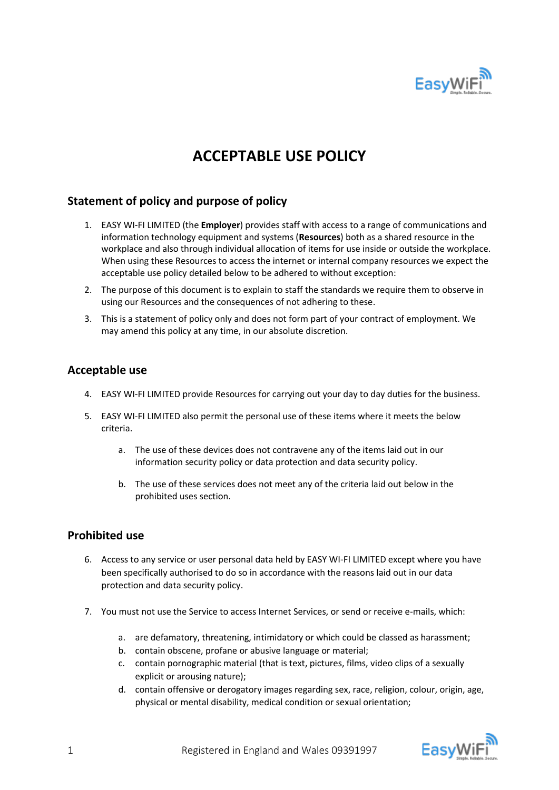

# **ACCEPTABLE USE POLICY**

# **Statement of policy and purpose of policy**

- 1. EASY WI-FI LIMITED (the **Employer**) provides staff with access to a range of communications and information technology equipment and systems (**Resources**) both as a shared resource in the workplace and also through individual allocation of items for use inside or outside the workplace. When using these Resources to access the internet or internal company resources we expect the acceptable use policy detailed below to be adhered to without exception:
- 2. The purpose of this document is to explain to staff the standards we require them to observe in using our Resources and the consequences of not adhering to these.
- 3. This is a statement of policy only and does not form part of your contract of employment. We may amend this policy at any time, in our absolute discretion.

### **Acceptable use**

- 4. EASY WI-FI LIMITED provide Resources for carrying out your day to day duties for the business.
- 5. EASY WI-FI LIMITED also permit the personal use of these items where it meets the below criteria.
	- a. The use of these devices does not contravene any of the items laid out in our information security policy or data protection and data security policy.
	- b. The use of these services does not meet any of the criteria laid out below in the prohibited uses section.

#### **Prohibited use**

- 6. Access to any service or user personal data held by EASY WI-FI LIMITED except where you have been specifically authorised to do so in accordance with the reasons laid out in our data protection and data security policy.
- 7. You must not use the Service to access Internet Services, or send or receive e-mails, which:
	- a. are defamatory, threatening, intimidatory or which could be classed as harassment;
	- b. contain obscene, profane or abusive language or material;
	- c. contain pornographic material (that is text, pictures, films, video clips of a sexually explicit or arousing nature);
	- d. contain offensive or derogatory images regarding sex, race, religion, colour, origin, age, physical or mental disability, medical condition or sexual orientation;